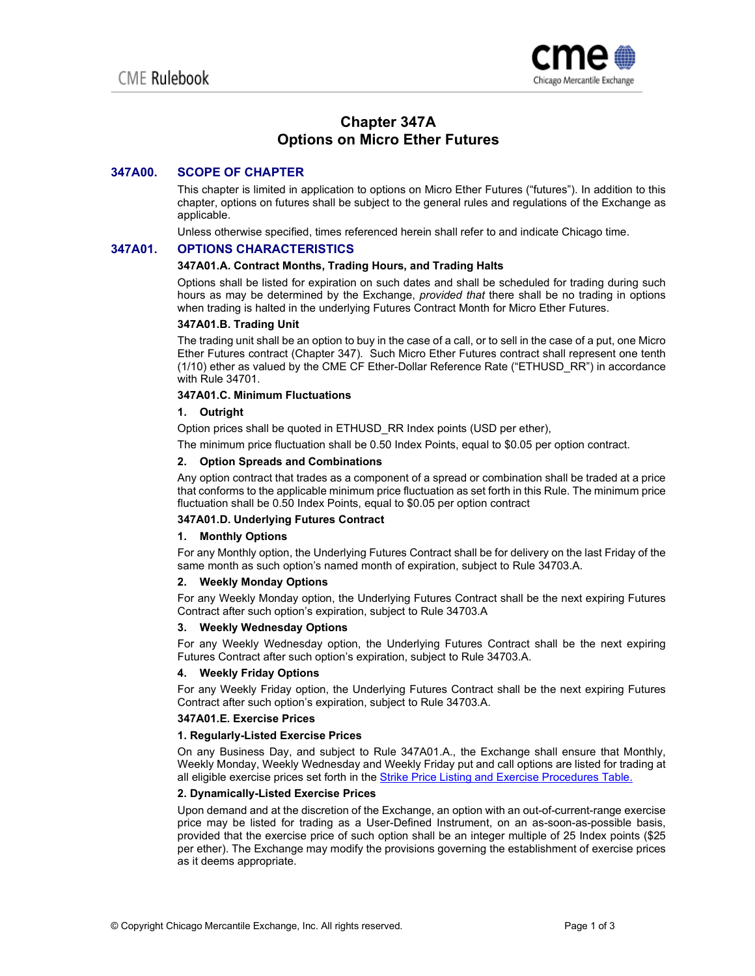

# **Chapter 347A Options on Micro Ether Futures**

# **347A00. SCOPE OF CHAPTER**

This chapter is limited in application to options on Micro Ether Futures ("futures"). In addition to this chapter, options on futures shall be subject to the general rules and regulations of the Exchange as applicable.

Unless otherwise specified, times referenced herein shall refer to and indicate Chicago time.

# **347A01. OPTIONS CHARACTERISTICS**

#### **347A01.A. Contract Months, Trading Hours, and Trading Halts**

Options shall be listed for expiration on such dates and shall be scheduled for trading during such hours as may be determined by the Exchange, *provided that* there shall be no trading in options when trading is halted in the underlying Futures Contract Month for Micro Ether Futures.

# **347A01.B. Trading Unit**

The trading unit shall be an option to buy in the case of a call, or to sell in the case of a put, one Micro Ether Futures contract (Chapter 347). Such Micro Ether Futures contract shall represent one tenth (1/10) ether as valued by the CME CF Ether-Dollar Reference Rate ("ETHUSD\_RR") in accordance with Rule 34701.

# **347A01.C. Minimum Fluctuations**

# **1. Outright**

Option prices shall be quoted in ETHUSD\_RR Index points (USD per ether),

The minimum price fluctuation shall be 0.50 Index Points, equal to \$0.05 per option contract.

## **2. Option Spreads and Combinations**

Any option contract that trades as a component of a spread or combination shall be traded at a price that conforms to the applicable minimum price fluctuation as set forth in this Rule. The minimum price fluctuation shall be 0.50 Index Points, equal to \$0.05 per option contract

# **347A01.D. Underlying Futures Contract**

#### **1. Monthly Options**

For any Monthly option, the Underlying Futures Contract shall be for delivery on the last Friday of the same month as such option's named month of expiration, subject to Rule 34703.A.

#### **2. Weekly Monday Options**

For any Weekly Monday option, the Underlying Futures Contract shall be the next expiring Futures Contract after such option's expiration, subject to Rule 34703.A

#### **3. Weekly Wednesday Options**

For any Weekly Wednesday option, the Underlying Futures Contract shall be the next expiring Futures Contract after such option's expiration, subject to Rule 34703.A.

#### **4. Weekly Friday Options**

For any Weekly Friday option, the Underlying Futures Contract shall be the next expiring Futures Contract after such option's expiration, subject to Rule 34703.A.

### **347A01.E. Exercise Prices**

### **1. Regularly-Listed Exercise Prices**

On any Business Day, and subject to Rule 347A01.A., the Exchange shall ensure that Monthly, Weekly Monday, Weekly Wednesday and Weekly Friday put and call options are listed for trading at all eligible exercise prices set forth in the [Strike Price Listing and Exercise Procedures Table.](https://www.cmegroup.com/trading/files/strike-price/strike-price-listing-and-exercise-procedures-table-cme-cbot.xlsx) 

# **2. Dynamically-Listed Exercise Prices**

Upon demand and at the discretion of the Exchange, an option with an out-of-current-range exercise price may be listed for trading as a User-Defined Instrument, on an as-soon-as-possible basis, provided that the exercise price of such option shall be an integer multiple of 25 Index points (\$25 per ether). The Exchange may modify the provisions governing the establishment of exercise prices as it deems appropriate.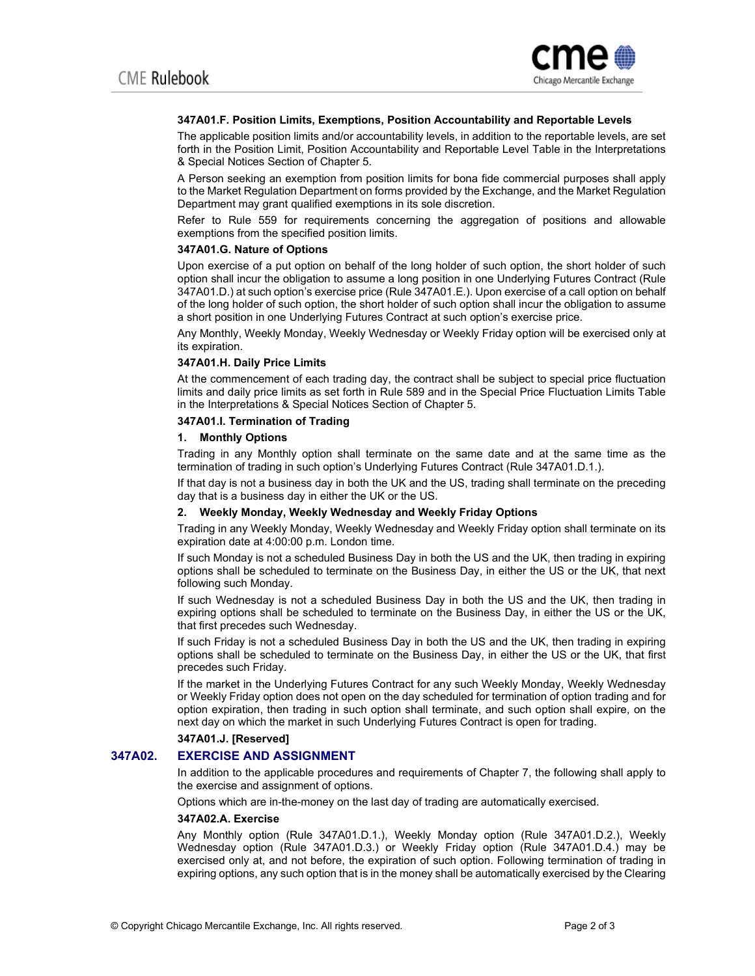

### **347A01.F. Position Limits, Exemptions, Position Accountability and Reportable Levels**

The applicable position limits and/or accountability levels, in addition to the reportable levels, are set forth in the Position Limit, Position Accountability and Reportable Level Table in the Interpretations & Special Notices Section of Chapter 5.

A Person seeking an exemption from position limits for bona fide commercial purposes shall apply to the Market Regulation Department on forms provided by the Exchange, and the Market Regulation Department may grant qualified exemptions in its sole discretion.

Refer to Rule 559 for requirements concerning the aggregation of positions and allowable exemptions from the specified position limits.

### **347A01.G. Nature of Options**

Upon exercise of a put option on behalf of the long holder of such option, the short holder of such option shall incur the obligation to assume a long position in one Underlying Futures Contract (Rule 347A01.D.) at such option's exercise price (Rule 347A01.E.). Upon exercise of a call option on behalf of the long holder of such option, the short holder of such option shall incur the obligation to assume a short position in one Underlying Futures Contract at such option's exercise price.

Any Monthly, Weekly Monday, Weekly Wednesday or Weekly Friday option will be exercised only at its expiration.

#### **347A01.H. Daily Price Limits**

At the commencement of each trading day, the contract shall be subject to special price fluctuation limits and daily price limits as set forth in Rule 589 and in the Special Price Fluctuation Limits Table in the Interpretations & Special Notices Section of Chapter 5.

### **347A01.I. Termination of Trading**

#### **1. Monthly Options**

Trading in any Monthly option shall terminate on the same date and at the same time as the termination of trading in such option's Underlying Futures Contract (Rule 347A01.D.1.).

If that day is not a business day in both the UK and the US, trading shall terminate on the preceding day that is a business day in either the UK or the US.

# **2. Weekly Monday, Weekly Wednesday and Weekly Friday Options**

Trading in any Weekly Monday, Weekly Wednesday and Weekly Friday option shall terminate on its expiration date at 4:00:00 p.m. London time.

If such Monday is not a scheduled Business Day in both the US and the UK, then trading in expiring options shall be scheduled to terminate on the Business Day, in either the US or the UK, that next following such Monday.

If such Wednesday is not a scheduled Business Day in both the US and the UK, then trading in expiring options shall be scheduled to terminate on the Business Day, in either the US or the UK, that first precedes such Wednesday.

If such Friday is not a scheduled Business Day in both the US and the UK, then trading in expiring options shall be scheduled to terminate on the Business Day, in either the US or the UK, that first precedes such Friday.

If the market in the Underlying Futures Contract for any such Weekly Monday, Weekly Wednesday or Weekly Friday option does not open on the day scheduled for termination of option trading and for option expiration, then trading in such option shall terminate, and such option shall expire, on the next day on which the market in such Underlying Futures Contract is open for trading.

### **347A01.J. [Reserved]**

# **347A02. EXERCISE AND ASSIGNMENT**

In addition to the applicable procedures and requirements of Chapter 7, the following shall apply to the exercise and assignment of options.

Options which are in-the-money on the last day of trading are automatically exercised.

#### **347A02.A. Exercise**

Any Monthly option (Rule 347A01.D.1.), Weekly Monday option (Rule 347A01.D.2.), Weekly Wednesday option (Rule 347A01.D.3.) or Weekly Friday option (Rule 347A01.D.4.) may be exercised only at, and not before, the expiration of such option. Following termination of trading in expiring options, any such option that is in the money shall be automatically exercised by the Clearing